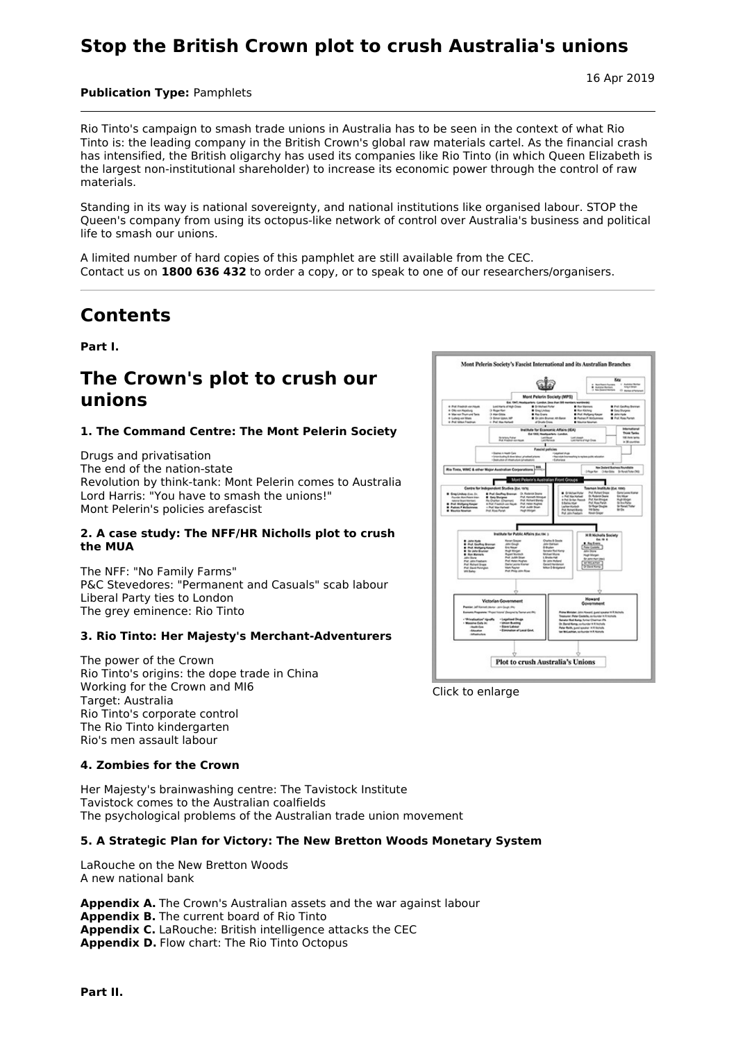## **Stop the British Crown plot to crush Australia's unions**

16 Apr 2019

## **Publication Type:** Pamphlets

Rio Tinto's campaign to smash trade unions in Australia has to be seen in the context of what Rio Tinto is: the leading company in the British Crown's global raw materials cartel. As the financial crash has intensified, the British oligarchy has used its companies like Rio Tinto (in which Queen Elizabeth is the largest non-institutional shareholder) to increase its economic power through the control of raw materials.

Standing in its way is national sovereignty, and national institutions like organised labour. STOP the Queen's company from using its octopus-like network of control over Australia's business and political life to smash our unions.

A limited number of hard copies of this pamphlet are still available from the CEC. Contact us on **1800 636 432** to order a copy, or to speak to one of our researchers/organisers.

# **Contents**

**Part I.**

## **The Crown's plot to crush our unions**

## **1. The Command Centre: The Mont Pelerin Society**

Drugs and privatisation The end of the nation-state Revolution by think-tank: Mont Pelerin comes to Australia Lord Harris: "You have to smash the unions!" Mont Pelerin's policies arefascist

#### **2. A case study: The NFF/HR Nicholls plot to crush the MUA**

The NFF: "No Family Farms" P&C Stevedores: "Permanent and Casuals" scab labour Liberal Party ties to London The grey eminence: Rio Tinto

## **3. Rio Tinto: Her Majesty's Merchant-Adventurers**

The power of the Crown Rio Tinto's origins: the dope trade in China Working for the Crown and MI6 Target: Australia Rio Tinto's corporate control The Rio Tinto kindergarten Rio's men assault labour

## **4. Zombies for the Crown**

Her Majesty's brainwashing centre: The Tavistock Institute Tavistock comes to the Australian coalfields The psychological problems of the Australian trade union movement

## **5. A Strategic Plan for Victory: The New Bretton Woods Monetary System**

LaRouche on the New Bretton Woods A new national bank

**Appendix A.** The Crown's Australian assets and the war against labour **Appendix B.** The current board of Rio Tinto **Appendix C.** LaRouche: British intelligence attacks the CEC **Appendix D.** Flow chart: The Rio Tinto Octopus